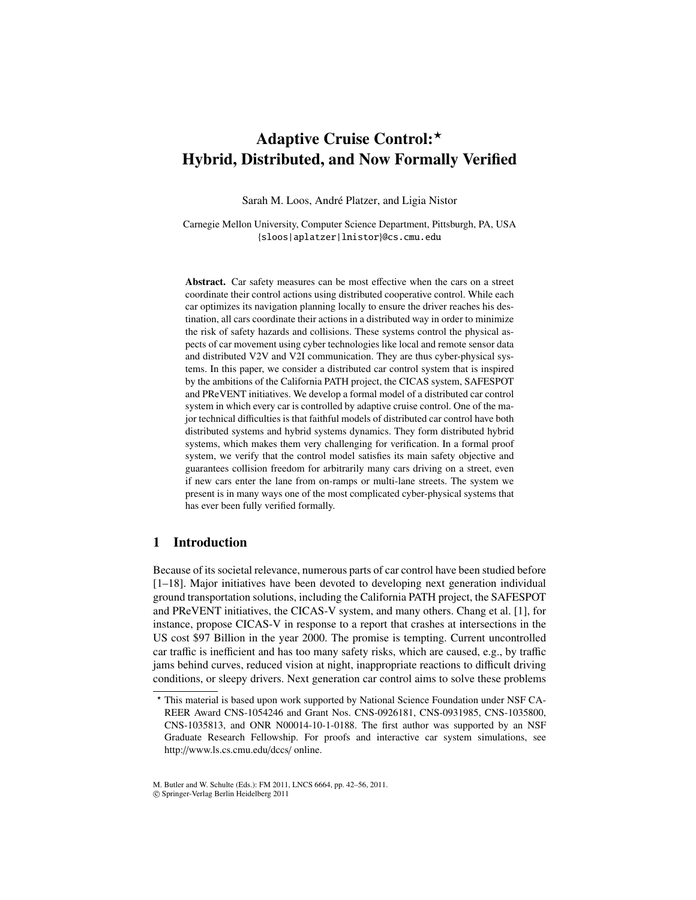# Adaptive Cruise Control:? Hybrid, Distributed, and Now Formally Verified

Sarah M. Loos, André Platzer, and Ligia Nistor

Carnegie Mellon University, Computer Science Department, Pittsburgh, PA, USA {sloos|aplatzer|lnistor}@cs.cmu.edu

Abstract. Car safety measures can be most effective when the cars on a street coordinate their control actions using distributed cooperative control. While each car optimizes its navigation planning locally to ensure the driver reaches his destination, all cars coordinate their actions in a distributed way in order to minimize the risk of safety hazards and collisions. These systems control the physical aspects of car movement using cyber technologies like local and remote sensor data and distributed V2V and V2I communication. They are thus cyber-physical systems. In this paper, we consider a distributed car control system that is inspired by the ambitions of the California PATH project, the CICAS system, SAFESPOT and PReVENT initiatives. We develop a formal model of a distributed car control system in which every car is controlled by adaptive cruise control. One of the major technical difficulties is that faithful models of distributed car control have both distributed systems and hybrid systems dynamics. They form distributed hybrid systems, which makes them very challenging for verification. In a formal proof system, we verify that the control model satisfies its main safety objective and guarantees collision freedom for arbitrarily many cars driving on a street, even if new cars enter the lane from on-ramps or multi-lane streets. The system we present is in many ways one of the most complicated cyber-physical systems that has ever been fully verified formally.

# 1 Introduction

Because of its societal relevance, numerous parts of car control have been studied before [1–18]. Major initiatives have been devoted to developing next generation individual ground transportation solutions, including the California PATH project, the SAFESPOT and PReVENT initiatives, the CICAS-V system, and many others. Chang et al. [1], for instance, propose CICAS-V in response to a report that crashes at intersections in the US cost \$97 Billion in the year 2000. The promise is tempting. Current uncontrolled car traffic is inefficient and has too many safety risks, which are caused, e.g., by traffic jams behind curves, reduced vision at night, inappropriate reactions to difficult driving conditions, or sleepy drivers. Next generation car control aims to solve these problems

<sup>?</sup> This material is based upon work supported by National Science Foundation under NSF CA-REER Award CNS-1054246 and Grant Nos. CNS-0926181, CNS-0931985, CNS-1035800, CNS-1035813, and ONR N00014-10-1-0188. The first author was supported by an NSF Graduate Research Fellowship. For proofs and interactive car system simulations, see http://www.ls.cs.cmu.edu/dccs/ online.

M. Butler and W. Schulte (Eds.): FM 2011, LNCS 6664, pp. 42–56, 2011. c Springer-Verlag Berlin Heidelberg 2011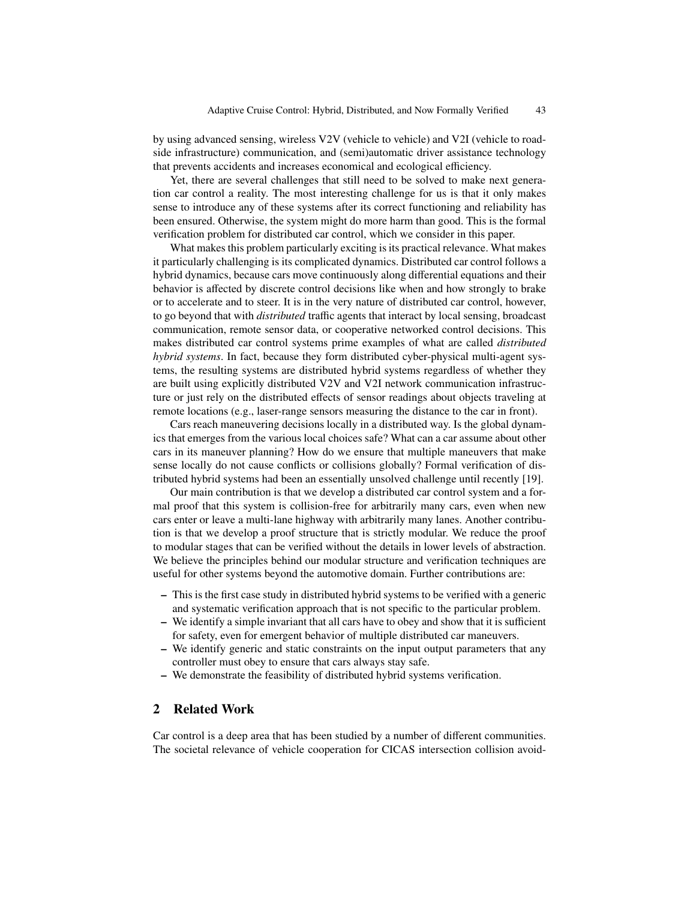by using advanced sensing, wireless V2V (vehicle to vehicle) and V2I (vehicle to roadside infrastructure) communication, and (semi)automatic driver assistance technology that prevents accidents and increases economical and ecological efficiency.

Yet, there are several challenges that still need to be solved to make next generation car control a reality. The most interesting challenge for us is that it only makes sense to introduce any of these systems after its correct functioning and reliability has been ensured. Otherwise, the system might do more harm than good. This is the formal verification problem for distributed car control, which we consider in this paper.

What makes this problem particularly exciting is its practical relevance. What makes it particularly challenging is its complicated dynamics. Distributed car control follows a hybrid dynamics, because cars move continuously along differential equations and their behavior is affected by discrete control decisions like when and how strongly to brake or to accelerate and to steer. It is in the very nature of distributed car control, however, to go beyond that with *distributed* traffic agents that interact by local sensing, broadcast communication, remote sensor data, or cooperative networked control decisions. This makes distributed car control systems prime examples of what are called *distributed hybrid systems*. In fact, because they form distributed cyber-physical multi-agent systems, the resulting systems are distributed hybrid systems regardless of whether they are built using explicitly distributed V2V and V2I network communication infrastructure or just rely on the distributed effects of sensor readings about objects traveling at remote locations (e.g., laser-range sensors measuring the distance to the car in front).

Cars reach maneuvering decisions locally in a distributed way. Is the global dynamics that emerges from the various local choices safe? What can a car assume about other cars in its maneuver planning? How do we ensure that multiple maneuvers that make sense locally do not cause conflicts or collisions globally? Formal verification of distributed hybrid systems had been an essentially unsolved challenge until recently [19].

Our main contribution is that we develop a distributed car control system and a formal proof that this system is collision-free for arbitrarily many cars, even when new cars enter or leave a multi-lane highway with arbitrarily many lanes. Another contribution is that we develop a proof structure that is strictly modular. We reduce the proof to modular stages that can be verified without the details in lower levels of abstraction. We believe the principles behind our modular structure and verification techniques are useful for other systems beyond the automotive domain. Further contributions are:

- This is the first case study in distributed hybrid systems to be verified with a generic and systematic verification approach that is not specific to the particular problem.
- We identify a simple invariant that all cars have to obey and show that it is sufficient for safety, even for emergent behavior of multiple distributed car maneuvers.
- We identify generic and static constraints on the input output parameters that any controller must obey to ensure that cars always stay safe.
- We demonstrate the feasibility of distributed hybrid systems verification.

# 2 Related Work

Car control is a deep area that has been studied by a number of different communities. The societal relevance of vehicle cooperation for CICAS intersection collision avoid-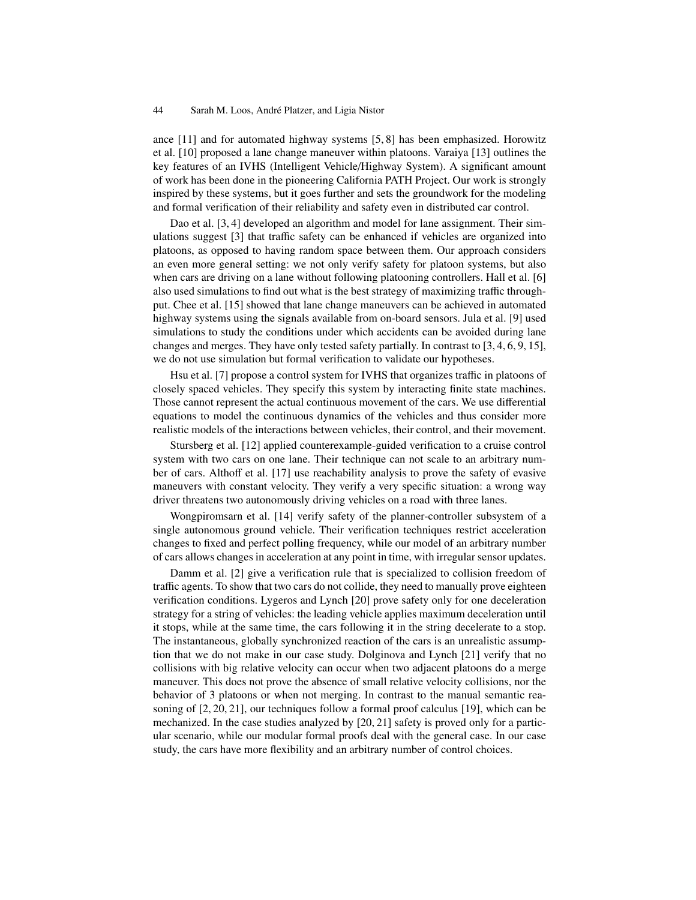ance [11] and for automated highway systems [5, 8] has been emphasized. Horowitz et al. [10] proposed a lane change maneuver within platoons. Varaiya [13] outlines the key features of an IVHS (Intelligent Vehicle/Highway System). A significant amount of work has been done in the pioneering California PATH Project. Our work is strongly inspired by these systems, but it goes further and sets the groundwork for the modeling and formal verification of their reliability and safety even in distributed car control.

Dao et al. [3, 4] developed an algorithm and model for lane assignment. Their simulations suggest [3] that traffic safety can be enhanced if vehicles are organized into platoons, as opposed to having random space between them. Our approach considers an even more general setting: we not only verify safety for platoon systems, but also when cars are driving on a lane without following platooning controllers. Hall et al. [6] also used simulations to find out what is the best strategy of maximizing traffic throughput. Chee et al. [15] showed that lane change maneuvers can be achieved in automated highway systems using the signals available from on-board sensors. Jula et al. [9] used simulations to study the conditions under which accidents can be avoided during lane changes and merges. They have only tested safety partially. In contrast to [3, 4, 6, 9, 15], we do not use simulation but formal verification to validate our hypotheses.

Hsu et al. [7] propose a control system for IVHS that organizes traffic in platoons of closely spaced vehicles. They specify this system by interacting finite state machines. Those cannot represent the actual continuous movement of the cars. We use differential equations to model the continuous dynamics of the vehicles and thus consider more realistic models of the interactions between vehicles, their control, and their movement.

Stursberg et al. [12] applied counterexample-guided verification to a cruise control system with two cars on one lane. Their technique can not scale to an arbitrary number of cars. Althoff et al. [17] use reachability analysis to prove the safety of evasive maneuvers with constant velocity. They verify a very specific situation: a wrong way driver threatens two autonomously driving vehicles on a road with three lanes.

Wongpiromsarn et al. [14] verify safety of the planner-controller subsystem of a single autonomous ground vehicle. Their verification techniques restrict acceleration changes to fixed and perfect polling frequency, while our model of an arbitrary number of cars allows changes in acceleration at any point in time, with irregular sensor updates.

Damm et al. [2] give a verification rule that is specialized to collision freedom of traffic agents. To show that two cars do not collide, they need to manually prove eighteen verification conditions. Lygeros and Lynch [20] prove safety only for one deceleration strategy for a string of vehicles: the leading vehicle applies maximum deceleration until it stops, while at the same time, the cars following it in the string decelerate to a stop. The instantaneous, globally synchronized reaction of the cars is an unrealistic assumption that we do not make in our case study. Dolginova and Lynch [21] verify that no collisions with big relative velocity can occur when two adjacent platoons do a merge maneuver. This does not prove the absence of small relative velocity collisions, nor the behavior of 3 platoons or when not merging. In contrast to the manual semantic reasoning of [2, 20, 21], our techniques follow a formal proof calculus [19], which can be mechanized. In the case studies analyzed by [20, 21] safety is proved only for a particular scenario, while our modular formal proofs deal with the general case. In our case study, the cars have more flexibility and an arbitrary number of control choices.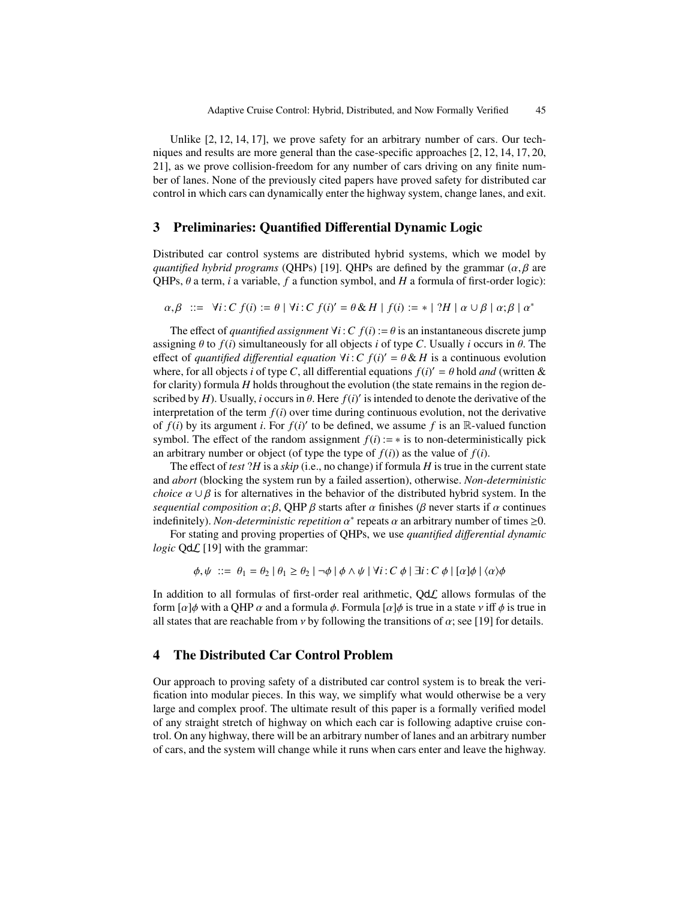Unlike  $[2, 12, 14, 17]$ , we prove safety for an arbitrary number of cars. Our techniques and results are more general than the case-specific approaches [2, 12, 14, 17, 20, 21], as we prove collision-freedom for any number of cars driving on any finite number of lanes. None of the previously cited papers have proved safety for distributed car control in which cars can dynamically enter the highway system, change lanes, and exit.

## 3 Preliminaries: Quantified Differential Dynamic Logic

Distributed car control systems are distributed hybrid systems, which we model by *quantified hybrid programs* (QHPs) [19]. QHPs are defined by the grammar  $(\alpha, \beta)$  are QHPs, θ a term, *<sup>i</sup>* a variable, *<sup>f</sup>* a function symbol, and *<sup>H</sup>* a formula of first-order logic):

 $\alpha, \beta$  ::=  $\forall i: C \ f(i) := \theta \mid \forall i: C \ f(i)' = \theta \& H \mid f(i) := * \mid ?H \mid \alpha \cup \beta \mid \alpha; \beta \mid \alpha^*$ 

The effect of *quantified assignment*  $\forall i : C$   $f(i) := \theta$  is an instantaneous discrete jump assigning  $\theta$  to  $f(i)$  simultaneously for all objects *i* of type *C*. Usually *i* occurs in  $\theta$ . The effect of *quantified differential equation*  $\forall i$  :  $C f(i)' = \theta \& H$  is a continuous evolution<br>where for all objects *i* of type  $C$  all differential equations  $f(i)' = \theta$  hold and (written & where, for all objects *i* of type *C*, all differential equations  $f(i)' = \theta$  hold *and* (written & for clarity) formula *H* holds throughout the evolution (the state remains in the region defor clarity) formula *H* holds throughout the evolution (the state remains in the region described by *H*). Usually, *i* occurs in  $\theta$ . Here  $f(i)'$  is intended to denote the derivative of the interpretation of the term  $f(i)$  over time during continuous evolution, not the derivative interpretation of the term  $f(i)$  over time during continuous evolution, not the derivative of  $f(i)$  by its argument *i*. For  $f(i)'$  to be defined, we assume f is an R-valued function symbol. The effect of the random assignment  $f(i) := *$  is to non-deterministically pick an arbitrary number or object (of type the type of  $f(i)$ ) as the value of  $f(i)$ .

The effect of *test* ?*H* is a *skip* (i.e., no change) if formula *H* is true in the current state and *abort* (blocking the system run by a failed assertion), otherwise. *Non-deterministic choice*  $\alpha \cup \beta$  is for alternatives in the behavior of the distributed hybrid system. In the *sequential composition*  $\alpha$ ;  $\beta$ , QHP  $\beta$  starts after  $\alpha$  finishes ( $\beta$  never starts if  $\alpha$  continues indefinitely). *Non-deterministic repetition*  $\alpha^*$  repeats  $\alpha$  an arbitrary number of times  $\geq 0$ .<br>For stating and proving properties of OHPs, we use *quantified differential dynamic* 

For stating and proving properties of QHPs, we use *quantified di*ff*erential dynamic logic* Qd*L* [19] with the grammar:

 $\phi, \psi \ ::= \theta_1 = \theta_2 \mid \theta_1 \ge \theta_2 \mid \neg \phi \mid \phi \land \psi \mid \forall i : C \phi \mid \exists i : C \phi \mid [\alpha] \phi \mid \langle \alpha \rangle \phi$ 

In addition to all formulas of first-order real arithmetic,  $OdL$  allows formulas of the form  $\lceil \alpha \rceil \phi$  with a OHP  $\alpha$  and a formula  $\phi$ . Formula  $\lceil \alpha \rceil \phi$  is true in a state  $\nu$  iff  $\phi$  is true in all states that are reachable from  $\nu$  by following the transitions of  $\alpha$ ; see [19] for details.

# 4 The Distributed Car Control Problem

Our approach to proving safety of a distributed car control system is to break the verification into modular pieces. In this way, we simplify what would otherwise be a very large and complex proof. The ultimate result of this paper is a formally verified model of any straight stretch of highway on which each car is following adaptive cruise control. On any highway, there will be an arbitrary number of lanes and an arbitrary number of cars, and the system will change while it runs when cars enter and leave the highway.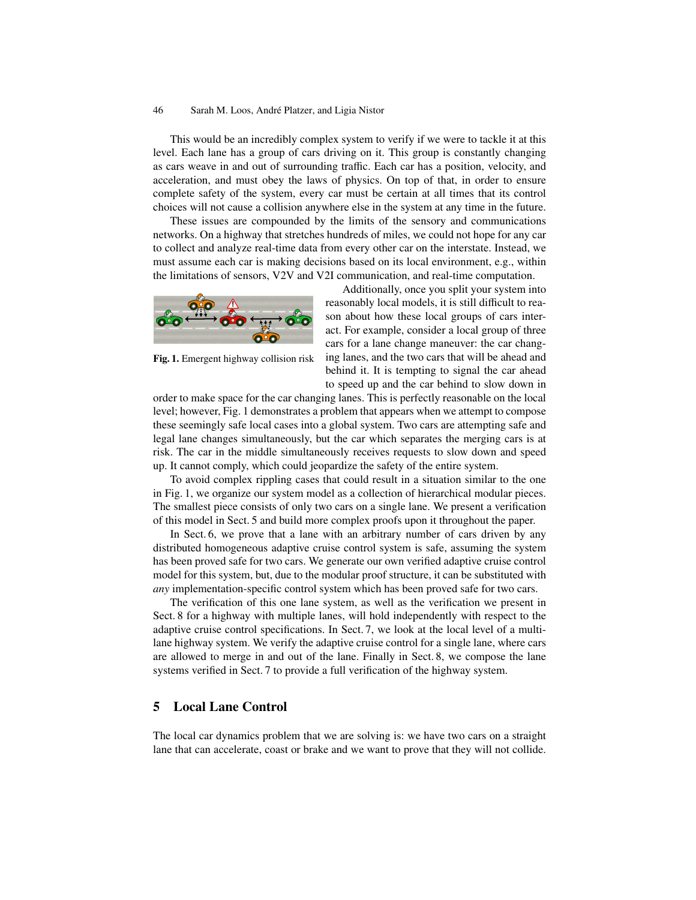This would be an incredibly complex system to verify if we were to tackle it at this level. Each lane has a group of cars driving on it. This group is constantly changing as cars weave in and out of surrounding traffic. Each car has a position, velocity, and acceleration, and must obey the laws of physics. On top of that, in order to ensure complete safety of the system, every car must be certain at all times that its control choices will not cause a collision anywhere else in the system at any time in the future.

These issues are compounded by the limits of the sensory and communications networks. On a highway that stretches hundreds of miles, we could not hope for any car to collect and analyze real-time data from every other car on the interstate. Instead, we must assume each car is making decisions based on its local environment, e.g., within the limitations of sensors, V2V and V2I communication, and real-time computation.



Fig. 1. Emergent highway collision risk

Additionally, once you split your system into reasonably local models, it is still difficult to reason about how these local groups of cars interact. For example, consider a local group of three cars for a lane change maneuver: the car changing lanes, and the two cars that will be ahead and behind it. It is tempting to signal the car ahead to speed up and the car behind to slow down in

order to make space for the car changing lanes. This is perfectly reasonable on the local level; however, Fig. 1 demonstrates a problem that appears when we attempt to compose these seemingly safe local cases into a global system. Two cars are attempting safe and legal lane changes simultaneously, but the car which separates the merging cars is at risk. The car in the middle simultaneously receives requests to slow down and speed up. It cannot comply, which could jeopardize the safety of the entire system.

To avoid complex rippling cases that could result in a situation similar to the one in Fig. 1, we organize our system model as a collection of hierarchical modular pieces. The smallest piece consists of only two cars on a single lane. We present a verification of this model in Sect. 5 and build more complex proofs upon it throughout the paper.

In Sect. 6, we prove that a lane with an arbitrary number of cars driven by any distributed homogeneous adaptive cruise control system is safe, assuming the system has been proved safe for two cars. We generate our own verified adaptive cruise control model for this system, but, due to the modular proof structure, it can be substituted with *any* implementation-specific control system which has been proved safe for two cars.

The verification of this one lane system, as well as the verification we present in Sect. 8 for a highway with multiple lanes, will hold independently with respect to the adaptive cruise control specifications. In Sect. 7, we look at the local level of a multilane highway system. We verify the adaptive cruise control for a single lane, where cars are allowed to merge in and out of the lane. Finally in Sect. 8, we compose the lane systems verified in Sect. 7 to provide a full verification of the highway system.

## 5 Local Lane Control

The local car dynamics problem that we are solving is: we have two cars on a straight lane that can accelerate, coast or brake and we want to prove that they will not collide.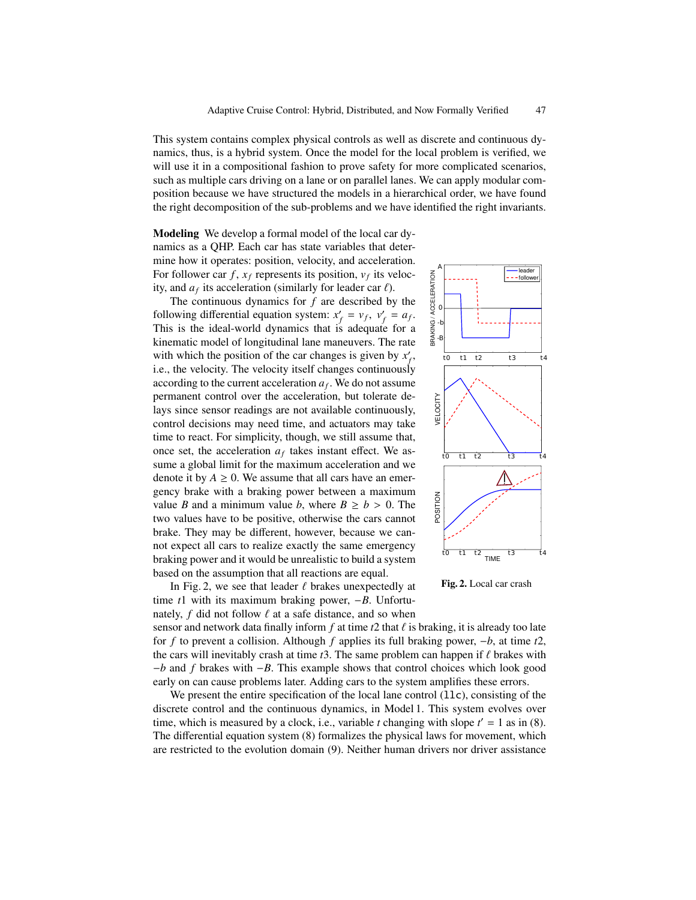This system contains complex physical controls as well as discrete and continuous dynamics, thus, is a hybrid system. Once the model for the local problem is verified, we will use it in a compositional fashion to prove safety for more complicated scenarios, such as multiple cars driving on a lane or on parallel lanes. We can apply modular composition because we have structured the models in a hierarchical order, we have found the right decomposition of the sub-problems and we have identified the right invariants.

Modeling We develop a formal model of the local car dynamics as a QHP. Each car has state variables that determine how it operates: position, velocity, and acceleration. For follower car  $f$ ,  $x_f$  represents its position,  $v_f$  its velocity, and  $a_f$  its acceleration (similarly for leader car  $\ell$ ).<br>The continuous dynamics for f are described by

The continuous dynamics for *f* are described by the following differential equation system:  $x'_f = v_f$ ,  $v'_f = a_f$ .<br>This is the ideal-world dynamics that is adequate for a This is the ideal-world dynamics that is adequate for a kinematic model of longitudinal lane maneuvers. The rate with which the position of the car changes is given by  $x'_{f}$ , i.e., the velocity. The velocity itself changes continuously according to the current acceleration  $a_f$ . We do not assume permanent control over the acceleration, but tolerate delays since sensor readings are not available continuously, control decisions may need time, and actuators may take time to react. For simplicity, though, we still assume that, once set, the acceleration  $a_f$  takes instant effect. We assume a global limit for the maximum acceleration and we denote it by  $A \geq 0$ . We assume that all cars have an emergency brake with a braking power between a maximum value *B* and a minimum value *b*, where  $B \ge b > 0$ . The two values have to be positive, otherwise the cars cannot brake. They may be different, however, because we cannot expect all cars to realize exactly the same emergency braking power and it would be unrealistic to build a system based on the assumption that all reactions are equal.



In Fig. 2, we see that leader  $\ell$  brakes unexpectedly at time *t*1 with its maximum braking power, −*B*. Unfortunately,  $f$  did not follow  $\ell$  at a safe distance, and so when

Fig. 2. Local car crash

sensor and network data finally inform  $f$  at time  $t^2$  that  $\ell$  is braking, it is already too late for *f* to prevent a collision. Although *f* applies its full braking power, −*b*, at time *t*2, the cars will inevitably crash at time  $t3$ . The same problem can happen if  $\ell$  brakes with −*b* and *f* brakes with −*B*. This example shows that control choices which look good early on can cause problems later. Adding cars to the system amplifies these errors.

We present the entire specification of the local lane control  $(11c)$ , consisting of the discrete control and the continuous dynamics, in Model 1. This system evolves over time, which is measured by a clock, i.e., variable *t* changing with slope  $t' = 1$  as in (8). The differential equation system (8) formalizes the physical laws for movement, which are restricted to the evolution domain (9). Neither human drivers nor driver assistance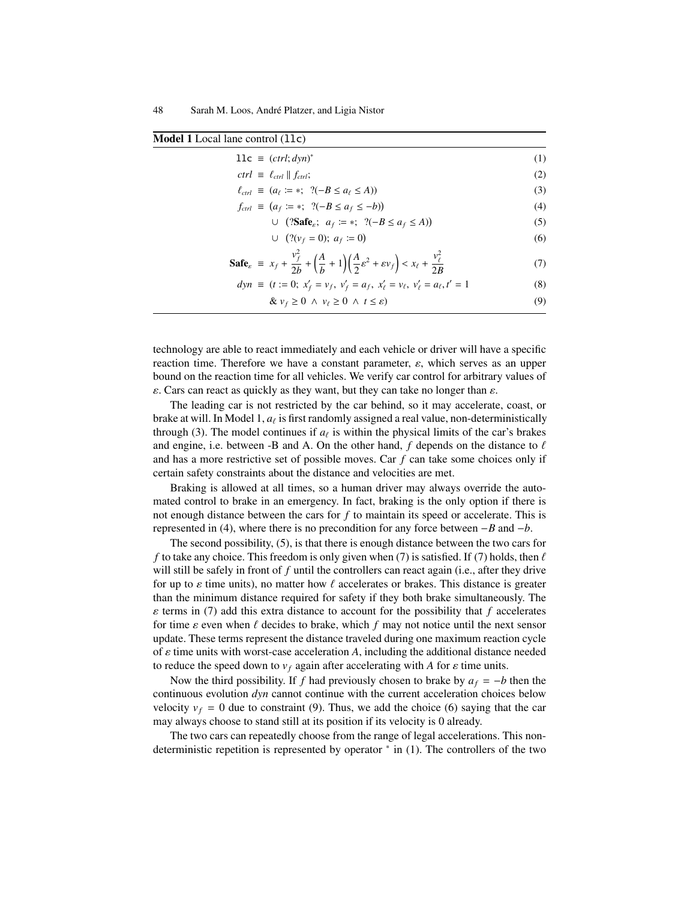| $\alpha$ T Even rance control (TTC)                                                                                                                                                                        |     |
|------------------------------------------------------------------------------------------------------------------------------------------------------------------------------------------------------------|-----|
| $11c \equiv (ctrl; dyn)^*$                                                                                                                                                                                 | (1) |
| $ctrl \equiv \ell_{ctrl}    f_{ctrl};$                                                                                                                                                                     | (2) |
| $\ell_{ctrl} \equiv (a_{\ell} \coloneqq *, ?(-B \le a_{\ell} \le A))$                                                                                                                                      | (3) |
| $f_{ctrl} \equiv (a_f \coloneqq *, ?(-B \le a_f \le -b))$                                                                                                                                                  | (4) |
| $\cup$ (?Safe <sub><math>\varepsilon</math></sub> ; $a_f \coloneqq *;$ ?( $-B \le a_f \le A$ ))                                                                                                            | (5) |
| $\cup$ $($ ? $(v_f = 0); a_f \coloneqq 0)$                                                                                                                                                                 | (6) |
| <b>Safe</b> <sub><math>\varepsilon \equiv x_f + \frac{v_f^2}{2h} + \left(\frac{A}{h} + 1\right) \left(\frac{A}{2}\varepsilon^2 + \varepsilon v_f\right) &lt; x_{\ell} + \frac{v_{\ell}^2}{2B}</math></sub> | (7) |
| $dyn \equiv (t := 0; x'_f = v_f, v'_f = a_f, x'_e = v_e, v'_e = a_e, t' = 1)$                                                                                                                              | (8) |
| & $v_f \geq 0 \land v_{\ell} \geq 0 \land t \leq \varepsilon$                                                                                                                                              | (9) |
|                                                                                                                                                                                                            |     |

Model 1 Local lane control (11c)

technology are able to react immediately and each vehicle or driver will have a specific reaction time. Therefore we have a constant parameter,  $\varepsilon$ , which serves as an upper bound on the reaction time for all vehicles. We verify car control for arbitrary values of  $\varepsilon$ . Cars can react as quickly as they want, but they can take no longer than  $\varepsilon$ .

The leading car is not restricted by the car behind, so it may accelerate, coast, or brake at will. In Model 1,  $a_\ell$  is first randomly assigned a real value, non-deterministically through (2). The model continues if  $a$ , is within the physical limits of the sen's huslical through (3). The model continues if  $a_\ell$  is within the physical limits of the car's brakes and engine, i.e. between -B and A. On the other hand,  $f$  depends on the distance to  $\ell$ and has a more restrictive set of possible moves. Car *f* can take some choices only if certain safety constraints about the distance and velocities are met.

Braking is allowed at all times, so a human driver may always override the automated control to brake in an emergency. In fact, braking is the only option if there is not enough distance between the cars for *f* to maintain its speed or accelerate. This is represented in (4), where there is no precondition for any force between −*B* and −*b*.

The second possibility, (5), is that there is enough distance between the two cars for *f* to take any choice. This freedom is only given when (7) is satisfied. If (7) holds, then  $\ell$ will still be safely in front of f until the controllers can react again (i.e., after they drive for up to  $\varepsilon$  time units), no matter how  $\ell$  accelerates or brakes. This distance is greater than the minimum distance required for safety if they both brake simultaneously. The  $\varepsilon$  terms in (7) add this extra distance to account for the possibility that  $f$  accelerates for time  $\varepsilon$  even when  $\ell$  decides to brake, which  $f$  may not notice until the next sensor update. These terms represent the distance traveled during one maximum reaction cycle of  $\varepsilon$  time units with worst-case acceleration  $A$ , including the additional distance needed to reduce the speed down to  $v_f$  again after accelerating with *A* for  $\varepsilon$  time units.

Now the third possibility. If *f* had previously chosen to brake by  $a_f = -b$  then the continuous evolution *dyn* cannot continue with the current acceleration choices below velocity  $v_f = 0$  due to constraint (9). Thus, we add the choice (6) saying that the car may always choose to stand still at its position if its velocity is 0 already.

The two cars can repeatedly choose from the range of legal accelerations. This nondeterministic repetition is represented by operator <sup>∗</sup> in (1). The controllers of the two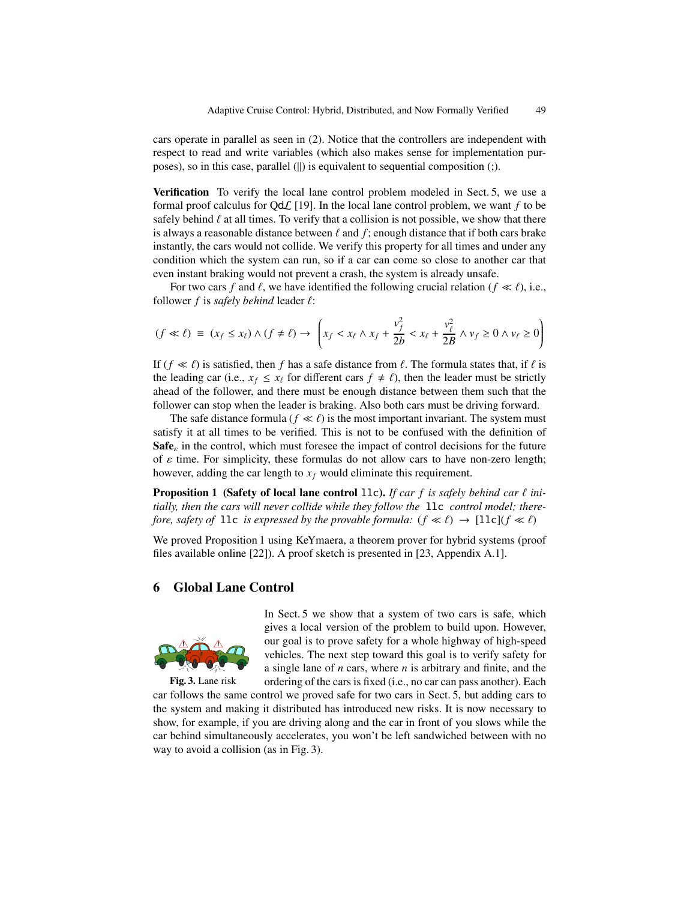cars operate in parallel as seen in (2). Notice that the controllers are independent with respect to read and write variables (which also makes sense for implementation purposes), so in this case, parallel (||) is equivalent to sequential composition (;).

Verification To verify the local lane control problem modeled in Sect. 5, we use a formal proof calculus for  $QdL$  [19]. In the local lane control problem, we want  $f$  to be safely behind  $\ell$  at all times. To verify that a collision is not possible, we show that there is always a reasonable distance between  $\ell$  and  $f$ ; enough distance that if both cars brake instantly, the cars would not collide. We verify this property for all times and under any condition which the system can run, so if a car can come so close to another car that even instant braking would not prevent a crash, the system is already unsafe.

For two cars *f* and *l*, we have identified the following crucial relation ( $f \ll l$ ), i.e., follower  $f$  is *safely behind* leader  $\ell$ :

$$
(f \ll \ell) \equiv (x_f \leq x_\ell) \land (f \neq \ell) \rightarrow \left(x_f < x_\ell \land x_f + \frac{v_f^2}{2b} < x_\ell + \frac{v_\ell^2}{2B} \land v_f \geq 0 \land v_\ell \geq 0\right)
$$

If  $(f \ll \ell)$  is satisfied, then f has a safe distance from  $\ell$ . The formula states that, if  $\ell$  is the leading car (i.e.,  $x_f \le x_\ell$  for different cars  $f \ne \ell$ ), then the leader must be strictly ahead of the follower, and there must be enough distance between them such that the follower can stop when the leader is braking. Also both cars must be driving forward.

The safe distance formula ( $f \ll \ell$ ) is the most important invariant. The system must satisfy it at all times to be verified. This is not to be confused with the definition of **Safe**<sub> $\varepsilon$ </sub> in the control, which must foresee the impact of control decisions for the future of  $\varepsilon$  time. For simplicity, these formulas do not allow cars to have non-zero length; however, adding the car length to  $x_f$  would eliminate this requirement.

**Proposition 1** (Safety of local lane control 11c). If car f is safely behind car  $\ell$  initially, then the cars will never collide while they follow the llc control model; there*fore, safety of*  $\text{llc}$  *is expressed by the provable formula:*  $(f \ll \ell) \rightarrow [\text{llc}](f \ll \ell)$ 

We proved Proposition 1 using KeYmaera, a theorem prover for hybrid systems (proof files available online [22]). A proof sketch is presented in [23, Appendix A.1].

### 6 Global Lane Control



In Sect. 5 we show that a system of two cars is safe, which gives a local version of the problem to build upon. However, our goal is to prove safety for a whole highway of high-speed vehicles. The next step toward this goal is to verify safety for a single lane of *n* cars, where *n* is arbitrary and finite, and the ordering of the cars is fixed (i.e., no car can pass another). Each

car follows the same control we proved safe for two cars in Sect. 5, but adding cars to the system and making it distributed has introduced new risks. It is now necessary to show, for example, if you are driving along and the car in front of you slows while the car behind simultaneously accelerates, you won't be left sandwiched between with no way to avoid a collision (as in Fig. 3).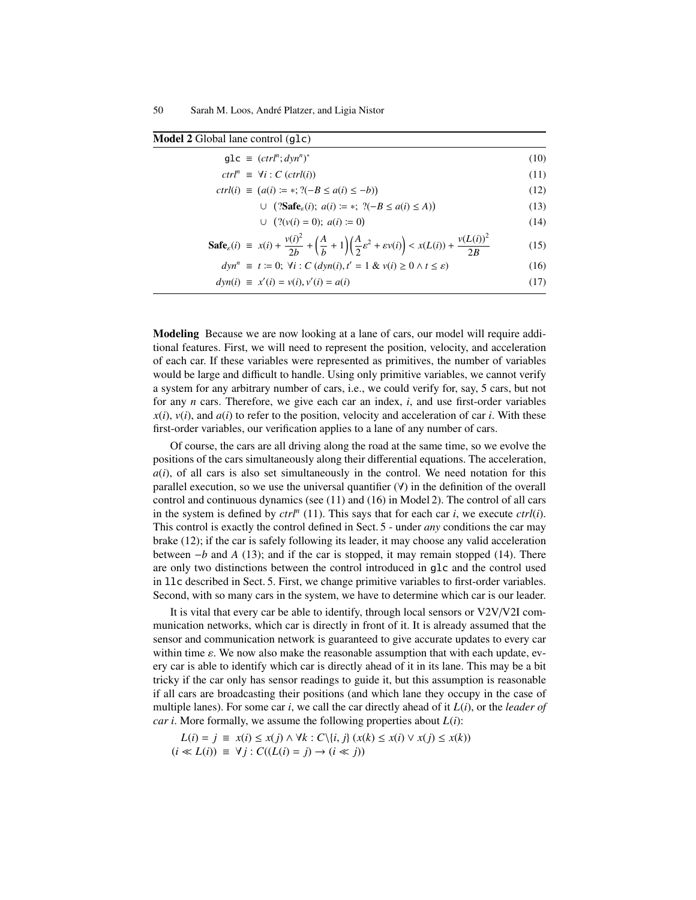| <b>Model 2</b> Global lane control $(q1c)$                                                                                                                                                                |      |
|-----------------------------------------------------------------------------------------------------------------------------------------------------------------------------------------------------------|------|
| $qlc \equiv (ctrl^n; dyn^n)^*$                                                                                                                                                                            | (10) |
| $ctrln \equiv \forall i : C (ctrl(i))$                                                                                                                                                                    | (11) |
| $ctrl(i) \equiv (a(i) := *; ?(-B \le a(i) \le -b))$                                                                                                                                                       | (12) |
| ∪ (?Safe <sub>s</sub> ( <i>i</i> ); $a(i) := *$ ; ?(-B ≤ $a(i) \le A$ ))                                                                                                                                  | (13) |
| $\cup$ $($ ? $(v(i) = 0); a(i) := 0)$                                                                                                                                                                     | (14) |
| <b>Safe</b> <sub><math>\varepsilon\equiv x(i) + \frac{v(i)^2}{2b} + \left(\frac{A}{b} + 1\right)\left(\frac{A}{2}\varepsilon^2 + \varepsilon v(i)\right) &lt; x(L(i)) + \frac{v(L(i))^2}{2B}</math></sub> | (15) |
| $dyn^{n} \equiv t := 0$ ; $\forall i : C (dyn(i), t' = 1 \& v(i) \ge 0 \land t \le \varepsilon)$                                                                                                          | (16) |
| $dyn(i) \equiv x'(i) = v(i), v'(i) = a(i)$                                                                                                                                                                | (17) |

Modeling Because we are now looking at a lane of cars, our model will require additional features. First, we will need to represent the position, velocity, and acceleration of each car. If these variables were represented as primitives, the number of variables would be large and difficult to handle. Using only primitive variables, we cannot verify a system for any arbitrary number of cars, i.e., we could verify for, say, 5 cars, but not for any *n* cars. Therefore, we give each car an index, *i*, and use first-order variables  $x(i)$ ,  $v(i)$ , and  $a(i)$  to refer to the position, velocity and acceleration of car *i*. With these first-order variables, our verification applies to a lane of any number of cars.

Of course, the cars are all driving along the road at the same time, so we evolve the positions of the cars simultaneously along their differential equations. The acceleration,  $a(i)$ , of all cars is also set simultaneously in the control. We need notation for this parallel execution, so we use the universal quantifier  $(\forall)$  in the definition of the overall control and continuous dynamics (see (11) and (16) in Model 2). The control of all cars in the system is defined by  $ctrl^n$  (11). This says that for each car *i*, we execute  $ctrl(i)$ . This control is exactly the control defined in Sect. 5 - under *any* conditions the car may brake (12); if the car is safely following its leader, it may choose any valid acceleration between  $-b$  and *A* (13); and if the car is stopped, it may remain stopped (14). There are only two distinctions between the control introduced in glc and the control used in llc described in Sect. 5. First, we change primitive variables to first-order variables. Second, with so many cars in the system, we have to determine which car is our leader.

It is vital that every car be able to identify, through local sensors or V2V/V2I communication networks, which car is directly in front of it. It is already assumed that the sensor and communication network is guaranteed to give accurate updates to every car within time  $\varepsilon$ . We now also make the reasonable assumption that with each update, every car is able to identify which car is directly ahead of it in its lane. This may be a bit tricky if the car only has sensor readings to guide it, but this assumption is reasonable if all cars are broadcasting their positions (and which lane they occupy in the case of multiple lanes). For some car *i*, we call the car directly ahead of it *L*(*i*), or the *leader of car i*. More formally, we assume the following properties about *L*(*i*):

*L*(*i*) = *j* ≡ *x*(*i*) ≤ *x*(*j*) ∧  $\forall k : C \setminus \{i, j\}$  (*x*(*k*) ≤ *x*(*i*) ∨ *x*(*j*) ≤ *x*(*k*))  $(i \ll L(i)) \equiv \forall j : C((L(i) = j) \rightarrow (i \ll j))$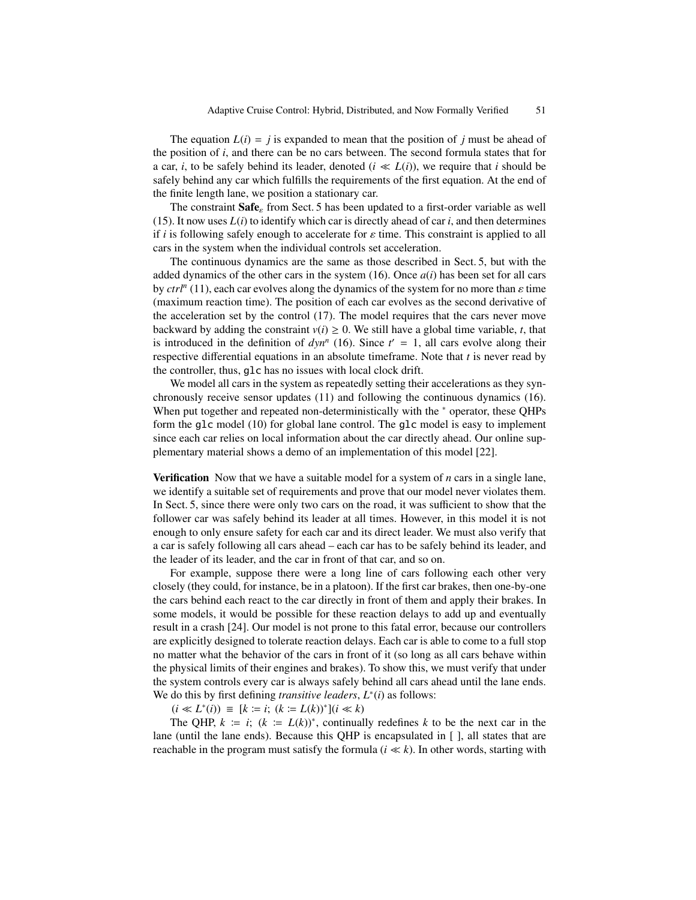The equation  $L(i) = j$  is expanded to mean that the position of *j* must be ahead of the position of *i*, and there can be no cars between. The second formula states that for a car, *i*, to be safely behind its leader, denoted  $(i \ll L(i))$ , we require that *i* should be safely behind any car which fulfills the requirements of the first equation. At the end of the finite length lane, we position a stationary car.

The constraint  $\text{Safe}_\varepsilon$  from Sect. 5 has been updated to a first-order variable as well (15). It now uses  $L(i)$  to identify which car is directly ahead of car  $i$ , and then determines if *i* is following safely enough to accelerate for  $\varepsilon$  time. This constraint is applied to all cars in the system when the individual controls set acceleration.

The continuous dynamics are the same as those described in Sect. 5, but with the added dynamics of the other cars in the system (16). Once *a*(*i*) has been set for all cars by *ctrl<sup>n</sup>* (11), each car evolves along the dynamics of the system for no more than  $\varepsilon$  time<br>(maximum reaction time). The position of each car evolves as the second derivative of (maximum reaction time). The position of each car evolves as the second derivative of the acceleration set by the control (17). The model requires that the cars never move backward by adding the constraint  $v(i) \geq 0$ . We still have a global time variable, *t*, that is introduced in the definition of  $dyn<sup>n</sup>$  (16). Since  $t' = 1$ , all cars evolve along their respective differential equations in an absolute timeframe. Note that *t* is never read by the controller, thus, glc has no issues with local clock drift.

We model all cars in the system as repeatedly setting their accelerations as they synchronously receive sensor updates (11) and following the continuous dynamics (16). When put together and repeated non-deterministically with the <sup>∗</sup> operator, these QHPs form the glc model (10) for global lane control. The glc model is easy to implement since each car relies on local information about the car directly ahead. Our online supplementary material shows a demo of an implementation of this model [22].

Verification Now that we have a suitable model for a system of *n* cars in a single lane, we identify a suitable set of requirements and prove that our model never violates them. In Sect. 5, since there were only two cars on the road, it was sufficient to show that the follower car was safely behind its leader at all times. However, in this model it is not enough to only ensure safety for each car and its direct leader. We must also verify that a car is safely following all cars ahead – each car has to be safely behind its leader, and the leader of its leader, and the car in front of that car, and so on.

For example, suppose there were a long line of cars following each other very closely (they could, for instance, be in a platoon). If the first car brakes, then one-by-one the cars behind each react to the car directly in front of them and apply their brakes. In some models, it would be possible for these reaction delays to add up and eventually result in a crash [24]. Our model is not prone to this fatal error, because our controllers are explicitly designed to tolerate reaction delays. Each car is able to come to a full stop no matter what the behavior of the cars in front of it (so long as all cars behave within the physical limits of their engines and brakes). To show this, we must verify that under the system controls every car is always safely behind all cars ahead until the lane ends. We do this by first defining *transitive leaders*, *L* ∗ (*i*) as follows:

 $(i \ll L^*(i)) \equiv [k := i; (k := L(k))^*](i \ll k)$ 

The QHP,  $k := i$ ;  $(k := L(k))$ <sup>\*</sup>, continually redefines k to be the next car in the lane (until the lane ends). Because this QHP is encapsulated in [ ], all states that are reachable in the program must satisfy the formula  $(i \ll k)$ . In other words, starting with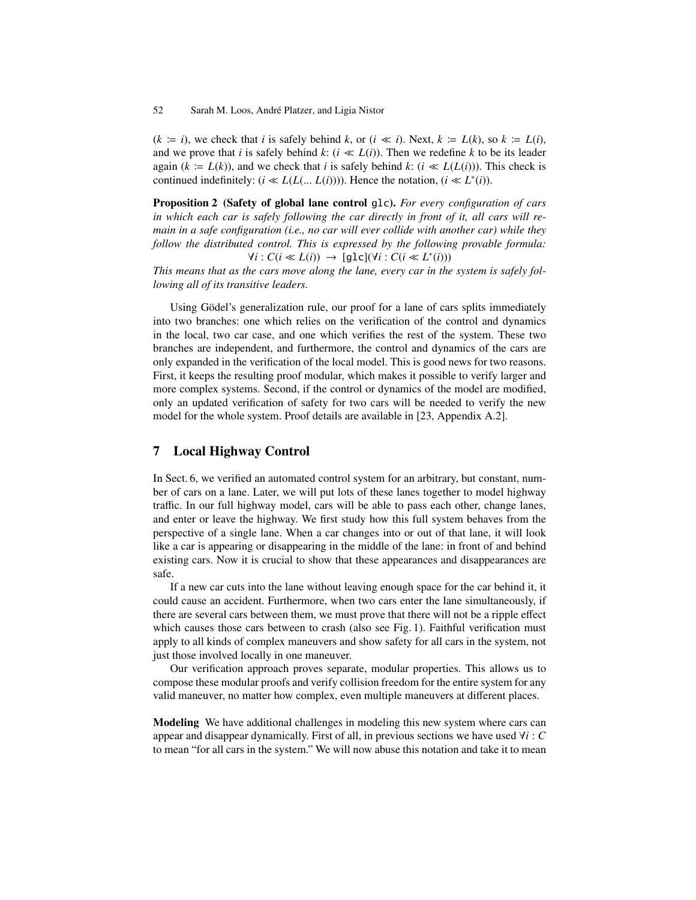$(k \equiv i)$ , we check that *i* is safely behind *k*, or  $(i \ll i)$ . Next,  $k \equiv L(k)$ , so  $k \equiv L(i)$ , and we prove that *i* is safely behind  $k$ :  $(i \ll L(i))$ . Then we redefine k to be its leader again ( $k := L(k)$ ), and we check that *i* is safely behind  $k: (i \ll L(L(i)))$ . This check is continued indefinitely: ( $i \ll L(L(... L(i))))$ ). Hence the notation, ( $i \ll L^*(i)$ ).

Proposition 2 (Safety of global lane control glc). *For every configuration of cars in which each car is safely following the car directly in front of it, all cars will remain in a safe configuration (i.e., no car will ever collide with another car) while they follow the distributed control. This is expressed by the following provable formula:*  $\forall i$  :  $C(i \ll L(i))$  → [glc]( $\forall i$  :  $C(i \ll L^*(i))$ )

*This means that as the cars move along the lane, every car in the system is safely following all of its transitive leaders.*

Using Gödel's generalization rule, our proof for a lane of cars splits immediately into two branches: one which relies on the verification of the control and dynamics in the local, two car case, and one which verifies the rest of the system. These two branches are independent, and furthermore, the control and dynamics of the cars are only expanded in the verification of the local model. This is good news for two reasons. First, it keeps the resulting proof modular, which makes it possible to verify larger and more complex systems. Second, if the control or dynamics of the model are modified, only an updated verification of safety for two cars will be needed to verify the new model for the whole system. Proof details are available in [23, Appendix A.2].

## 7 Local Highway Control

In Sect. 6, we verified an automated control system for an arbitrary, but constant, number of cars on a lane. Later, we will put lots of these lanes together to model highway traffic. In our full highway model, cars will be able to pass each other, change lanes, and enter or leave the highway. We first study how this full system behaves from the perspective of a single lane. When a car changes into or out of that lane, it will look like a car is appearing or disappearing in the middle of the lane: in front of and behind existing cars. Now it is crucial to show that these appearances and disappearances are safe.

If a new car cuts into the lane without leaving enough space for the car behind it, it could cause an accident. Furthermore, when two cars enter the lane simultaneously, if there are several cars between them, we must prove that there will not be a ripple effect which causes those cars between to crash (also see Fig. 1). Faithful verification must apply to all kinds of complex maneuvers and show safety for all cars in the system, not just those involved locally in one maneuver.

Our verification approach proves separate, modular properties. This allows us to compose these modular proofs and verify collision freedom for the entire system for any valid maneuver, no matter how complex, even multiple maneuvers at different places.

Modeling We have additional challenges in modeling this new system where cars can appear and disappear dynamically. First of all, in previous sections we have used ∀*i* : *C* to mean "for all cars in the system." We will now abuse this notation and take it to mean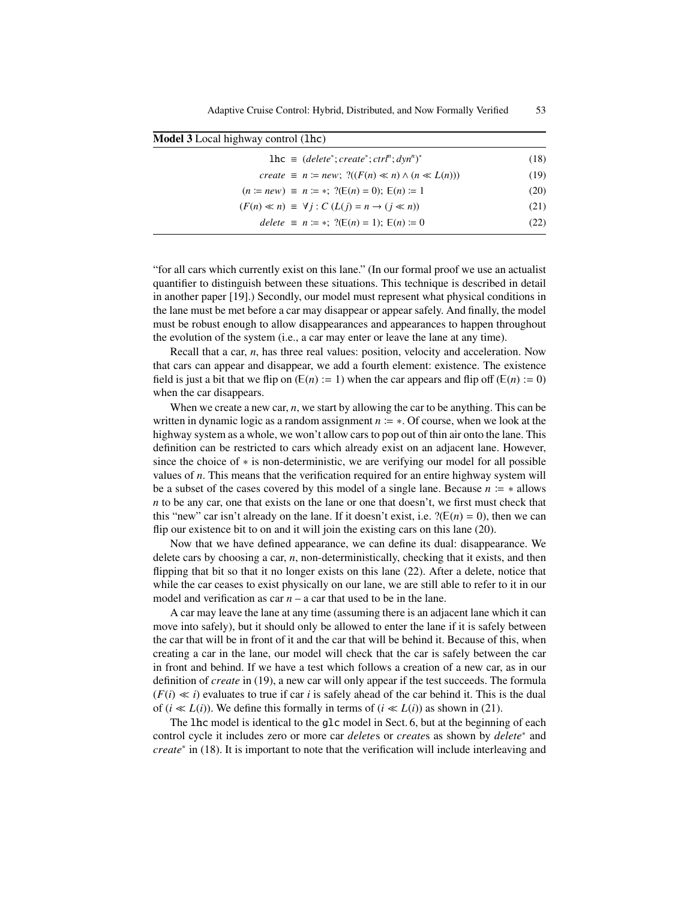| <b>Model 3</b> Local highway control (lhc)                                                                            |      |
|-----------------------------------------------------------------------------------------------------------------------|------|
| $\Delta$ hc $\equiv$ (delete <sup>*</sup> ; create <sup>*</sup> ; ctrl <sup>n</sup> ; dyn <sup>n</sup> ) <sup>*</sup> | (18) |
| create $\equiv n := new$ ; $?((F(n) \ll n) \land (n \ll L(n)))$                                                       | (19) |
| $(n := new) \equiv n := *; ?(\mathsf{E}(n) = 0); \mathsf{E}(n) := 1$                                                  | (20) |
| $(F(n) \ll n) \equiv \forall j : C (L(j) = n \rightarrow (j \ll n))$                                                  | (21) |
| $delete \equiv n := *$ ; $?(E(n) = 1)$ ; $E(n) := 0$                                                                  | (22) |

"for all cars which currently exist on this lane." (In our formal proof we use an actualist quantifier to distinguish between these situations. This technique is described in detail in another paper [19].) Secondly, our model must represent what physical conditions in the lane must be met before a car may disappear or appear safely. And finally, the model must be robust enough to allow disappearances and appearances to happen throughout the evolution of the system (i.e., a car may enter or leave the lane at any time).

Recall that a car, *n*, has three real values: position, velocity and acceleration. Now that cars can appear and disappear, we add a fourth element: existence. The existence field is just a bit that we flip on  $(E(n) := 1)$  when the car appears and flip off  $(E(n) := 0)$ when the car disappears.

When we create a new car, *n*, we start by allowing the car to be anything. This can be written in dynamic logic as a random assignment  $n \geq *$ . Of course, when we look at the highway system as a whole, we won't allow cars to pop out of thin air onto the lane. This definition can be restricted to cars which already exist on an adjacent lane. However, since the choice of ∗ is non-deterministic, we are verifying our model for all possible values of *n*. This means that the verification required for an entire highway system will be a subset of the cases covered by this model of a single lane. Because  $n := *$  allows *n* to be any car, one that exists on the lane or one that doesn't, we first must check that this "new" car isn't already on the lane. If it doesn't exist, i.e.  $?(\mathsf{E}(n) = 0)$ , then we can flip our existence bit to on and it will join the existing cars on this lane (20).

Now that we have defined appearance, we can define its dual: disappearance. We delete cars by choosing a car, *n*, non-deterministically, checking that it exists, and then flipping that bit so that it no longer exists on this lane (22). After a delete, notice that while the car ceases to exist physically on our lane, we are still able to refer to it in our model and verification as car  $n - a$  car that used to be in the lane.

A car may leave the lane at any time (assuming there is an adjacent lane which it can move into safely), but it should only be allowed to enter the lane if it is safely between the car that will be in front of it and the car that will be behind it. Because of this, when creating a car in the lane, our model will check that the car is safely between the car in front and behind. If we have a test which follows a creation of a new car, as in our definition of *create* in (19), a new car will only appear if the test succeeds. The formula  $(F(i) \ll i)$  evaluates to true if car *i* is safely ahead of the car behind it. This is the dual of  $(i \ll L(i))$ . We define this formally in terms of  $(i \ll L(i))$  as shown in (21).

The lhc model is identical to the glc model in Sect. 6, but at the beginning of each control cycle it includes zero or more car *delete*s or *create*s as shown by *delete*<sup>∗</sup> and *create*<sup>∗</sup> in (18). It is important to note that the verification will include interleaving and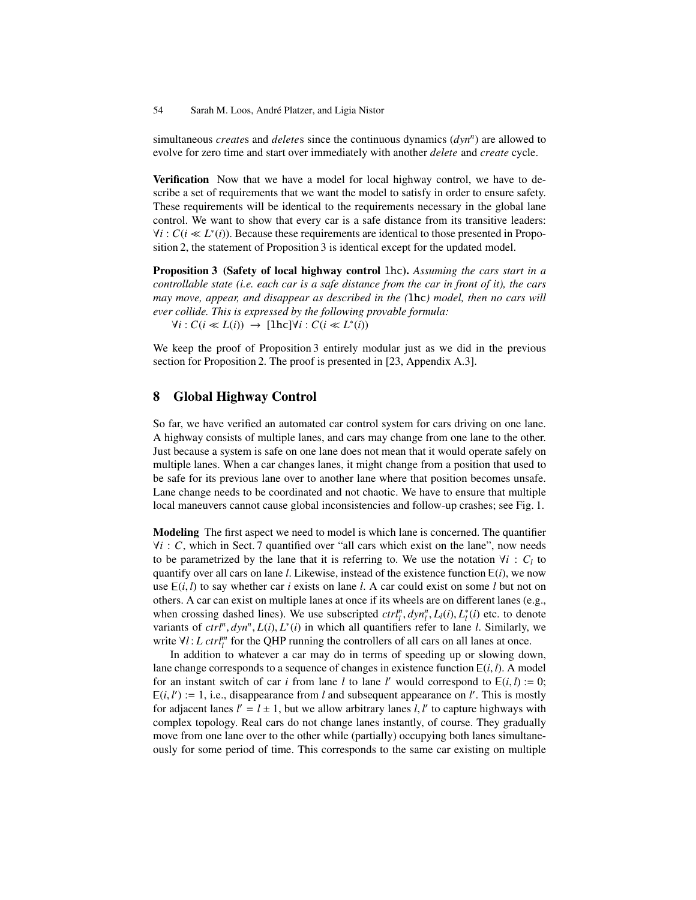simultaneous *create*s and *delete*s since the continuous dynamics (*dyn<sup>n</sup>* ) are allowed to evolve for zero time and start over immediately with another *delete* and *create* cycle.

Verification Now that we have a model for local highway control, we have to describe a set of requirements that we want the model to satisfy in order to ensure safety. These requirements will be identical to the requirements necessary in the global lane control. We want to show that every car is a safe distance from its transitive leaders:  $\forall i: C(i \ll L^*(i))$ . Because these requirements are identical to those presented in Proposition 2, the statement of Proposition 3 is identical except for the updated model.

Proposition 3 (Safety of local highway control lhc). *Assuming the cars start in a controllable state (i.e. each car is a safe distance from the car in front of it), the cars may move, appear, and disappear as described in the (*lhc*) model, then no cars will ever collide. This is expressed by the following provable formula:*  $∀i: C(i \ll L(i)) \rightarrow [1hc]∀i: C(i \ll L^*(i))$ 

We keep the proof of Proposition 3 entirely modular just as we did in the previous

section for Proposition 2. The proof is presented in [23, Appendix A.3].

## 8 Global Highway Control

So far, we have verified an automated car control system for cars driving on one lane. A highway consists of multiple lanes, and cars may change from one lane to the other. Just because a system is safe on one lane does not mean that it would operate safely on multiple lanes. When a car changes lanes, it might change from a position that used to be safe for its previous lane over to another lane where that position becomes unsafe. Lane change needs to be coordinated and not chaotic. We have to ensure that multiple local maneuvers cannot cause global inconsistencies and follow-up crashes; see Fig. 1.

Modeling The first aspect we need to model is which lane is concerned. The quantifier ∀*i* : *C*, which in Sect. 7 quantified over "all cars which exist on the lane", now needs to be parametrized by the lane that it is referring to. We use the notation  $\forall i : C_i$  to quantify over all cars on lane *l*. Likewise, instead of the existence function <sup>∃</sup> (*i*), we now use  $E(i, l)$  to say whether car *i* exists on lane *l*. A car could exist on some *l* but not on others  $\Delta$  car can exist on multiple lanes at once if its wheels are on different lanes (e.g. others. A car can exist on multiple lanes at once if its wheels are on different lanes (e.g., when crossing dashed lines). We use subscripted  $ctrl_l^m$ ,  $dyn_l^n$ ,  $L_l(i)$ ,  $L_l^*(i)$  etc. to denote variants of  $ctrl_l^m$ ,  $dw_l^n$ ,  $L(i)$ , in which all quantifiers refer to lang *l*. Similarly, we variants of  $ctrl^n$ ,  $dyn^n$ ,  $L(i)$ ,  $L^*(i)$  in which all quantifiers refer to lane *l*. Similarly, we write  $\forall l \in \mathcal{L} t$  ctrl<sup>*m*</sup> for the OHP running the controllers of all cars on all lanes at once write  $\forall l: L \text{ } \text{ }ctrl_l^m$  for the QHP running the controllers of all cars on all lanes at once.

In addition to whatever a car may do in terms of speeding up or slowing down, lane change corresponds to a sequence of changes in existence function  $E(i, l)$ . A model<br>for an instant switch of car *i* from lane *l* to lane *l'*, would correspond to  $E(i, l) = 0$ . for an instant switch of car *i* from lane *l* to lane *l'* would correspond to  $E(i, l) := 0$ ;<br> $E(i, l') := 1$  i.e., disappearance from *l* and subsequent appearance on *l'*. This is mostly  $E(i, l') := 1$ , i.e., disappearance from *l* and subsequent appearance on *l'*. This is mostly for adjacent lanes  $l' = l + 1$  but we allow arbitrary lanes *l l'* to capture highways with for adjacent lanes  $l' = l \pm 1$ , but we allow arbitrary lanes *l*,  $l'$  to capture highways with complex topology. Real cars do not change lanes instantly of course. They gradually complex topology. Real cars do not change lanes instantly, of course. They gradually move from one lane over to the other while (partially) occupying both lanes simultaneously for some period of time. This corresponds to the same car existing on multiple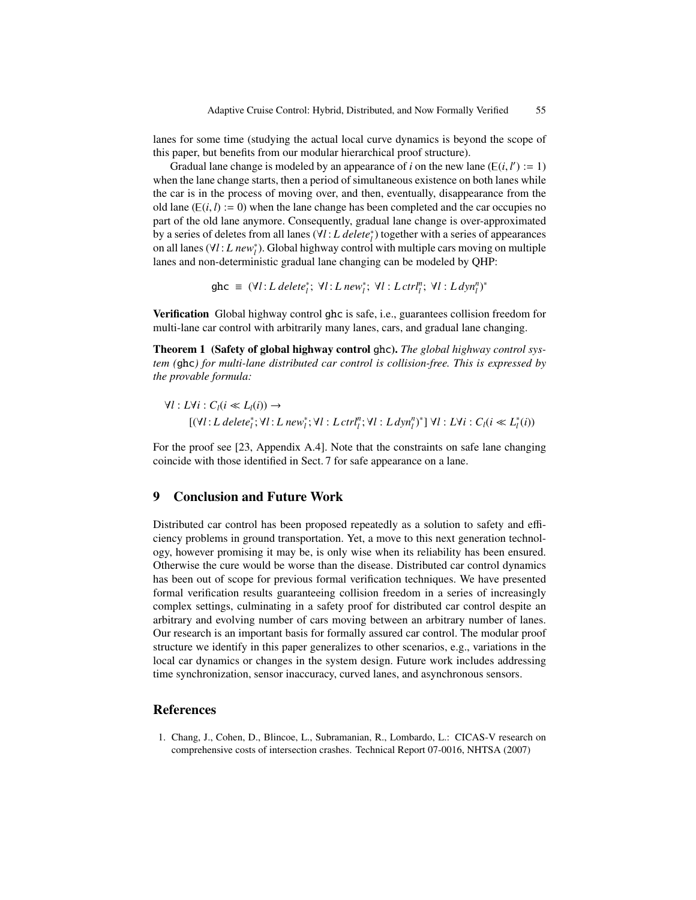lanes for some time (studying the actual local curve dynamics is beyond the scope of this paper, but benefits from our modular hierarchical proof structure).

Gradual lane change is modeled by an appearance of *i* on the new lane ( $E(i, l') := 1$ )<br>on the lane change starts, then a period of simultaneous existence on both lanes while when the lane change starts, then a period of simultaneous existence on both lanes while the car is in the process of moving over, and then, eventually, disappearance from the old lane  $(E(i, l)) := 0$ ) when the lane change has been completed and the car occupies no<br>part of the old lane anymore. Consequently, gradual lane change is over-approximated part of the old lane anymore. Consequently, gradual lane change is over-approximated by a series of deletes from all lanes (∀*l* : *L delete*<sup>∗</sup> *l* ) together with a series of appearances on all lanes (∀*l* : *L new*<sup>∗</sup> *l* ). Global highway control with multiple cars moving on multiple lanes and non-deterministic gradual lane changing can be modeled by QHP:

 $ghc \equiv (\forall l : L \text{ delete}_l^*; \forall l : L \text{ new}_l^*; \forall l : L \text{ ctrl}_l^n; \forall l : L \text{ dyn}_l^n)^*$ 

Verification Global highway control ghc is safe, i.e., guarantees collision freedom for multi-lane car control with arbitrarily many lanes, cars, and gradual lane changing.

Theorem 1 (Safety of global highway control ghc). *The global highway control system (*ghc*) for multi-lane distributed car control is collision-free. This is expressed by the provable formula:*

$$
\forall l: L \forall i: C_l(i \ll L_l(i)) \rightarrow
$$
  
 
$$
[(\forall l: L \text{ delete} l_i^*; \forall l: L \text{ new}_l^*; \forall l: L \text{ ctr} l_l^n; \forall l: L \text{ dyn}_l^n)^*] \forall l: L \forall i: C_l(i \ll L_l^*(i))
$$

For the proof see [23, Appendix A.4]. Note that the constraints on safe lane changing coincide with those identified in Sect. 7 for safe appearance on a lane.

# 9 Conclusion and Future Work

Distributed car control has been proposed repeatedly as a solution to safety and efficiency problems in ground transportation. Yet, a move to this next generation technology, however promising it may be, is only wise when its reliability has been ensured. Otherwise the cure would be worse than the disease. Distributed car control dynamics has been out of scope for previous formal verification techniques. We have presented formal verification results guaranteeing collision freedom in a series of increasingly complex settings, culminating in a safety proof for distributed car control despite an arbitrary and evolving number of cars moving between an arbitrary number of lanes. Our research is an important basis for formally assured car control. The modular proof structure we identify in this paper generalizes to other scenarios, e.g., variations in the local car dynamics or changes in the system design. Future work includes addressing time synchronization, sensor inaccuracy, curved lanes, and asynchronous sensors.

#### References

1. Chang, J., Cohen, D., Blincoe, L., Subramanian, R., Lombardo, L.: CICAS-V research on comprehensive costs of intersection crashes. Technical Report 07-0016, NHTSA (2007)